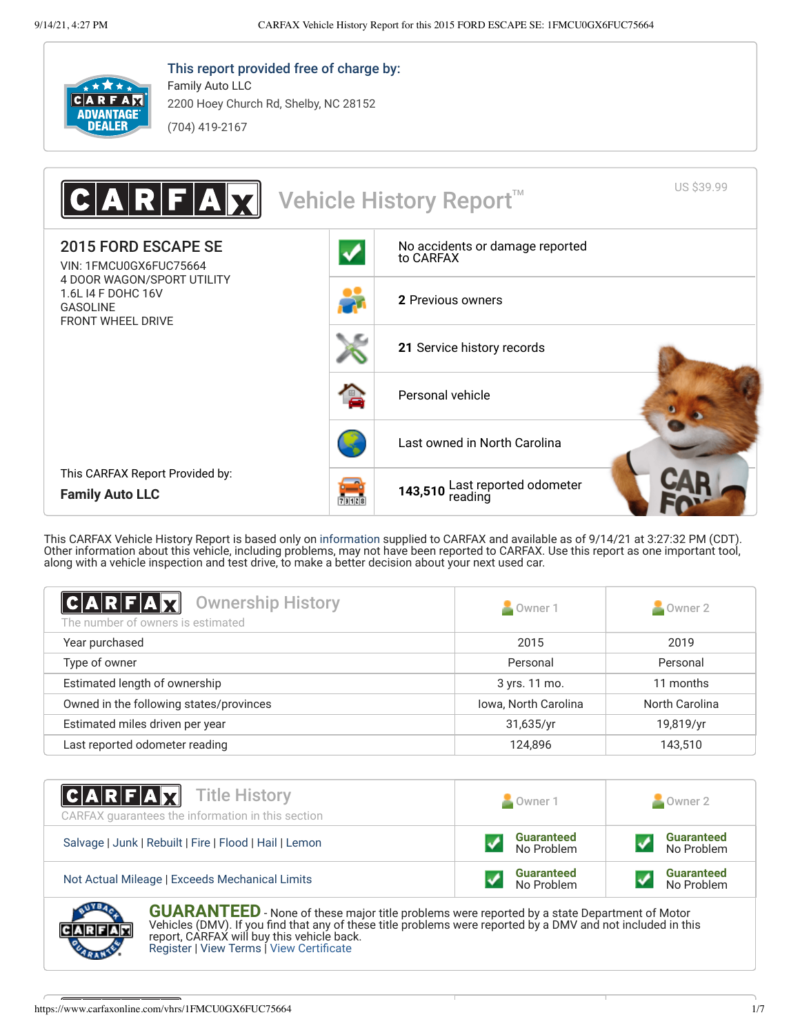

This report provided free of charge by: Family Auto LLC

2200 Hoey Church Rd, Shelby, NC 28152 (704) 419-2167



This CARFAX Vehicle History Report is based only on [information](http://www.carfax.com/company/vhr-data-sources) supplied to CARFAX and available as of 9/14/21 at 3:27:32 PM (CDT). Other information about this vehicle, including problems, may not have been reported to CARFAX. Use this report as one important tool, along with a vehicle inspection and test drive, to make a better decision about your next used car.

<span id="page-0-1"></span>

| <b>CARFAX</b><br><b>Ownership History</b><br>The number of owners is estimated | Owner 1              | Owner 2        |
|--------------------------------------------------------------------------------|----------------------|----------------|
| Year purchased                                                                 | 2015                 | 2019           |
| Type of owner                                                                  | Personal             | Personal       |
| Estimated length of ownership                                                  | 3 yrs. 11 mo.        | 11 months      |
| Owned in the following states/provinces                                        | Iowa, North Carolina | North Carolina |
| Estimated miles driven per year                                                | 31,635/yr            | 19,819/yr      |
| Last reported odometer reading                                                 | 124.896              | 143,510        |

| <b>CARFAX</b> Title History<br>CARFAX quarantees the information in this section | Owner 1                         | Owner 2                         |
|----------------------------------------------------------------------------------|---------------------------------|---------------------------------|
| Salvage   Junk   Rebuilt   Fire   Flood   Hail   Lemon                           | <b>Guaranteed</b><br>No Problem | <b>Guaranteed</b><br>No Problem |
| Not Actual Mileage   Exceeds Mechanical Limits                                   | <b>Guaranteed</b><br>No Problem | <b>Guaranteed</b><br>No Problem |
| <b>AND A</b>                                                                     |                                 |                                 |

<span id="page-0-0"></span>**GUARANTEED** - None of these major title problems were reported by a state Department of Motor Vehicles (DMV). If you find that any of these title problems were reported by a DMV and not included in this report, CARFAX will buy this vehicle back. [Register](https://www.carfax.com/Service/bbg) | [View Terms](http://www.carfaxonline.com/legal/bbgTerms) | [View Certificate](https://www.carfaxonline.com/vhrs/1FMCU0GX6FUC75664)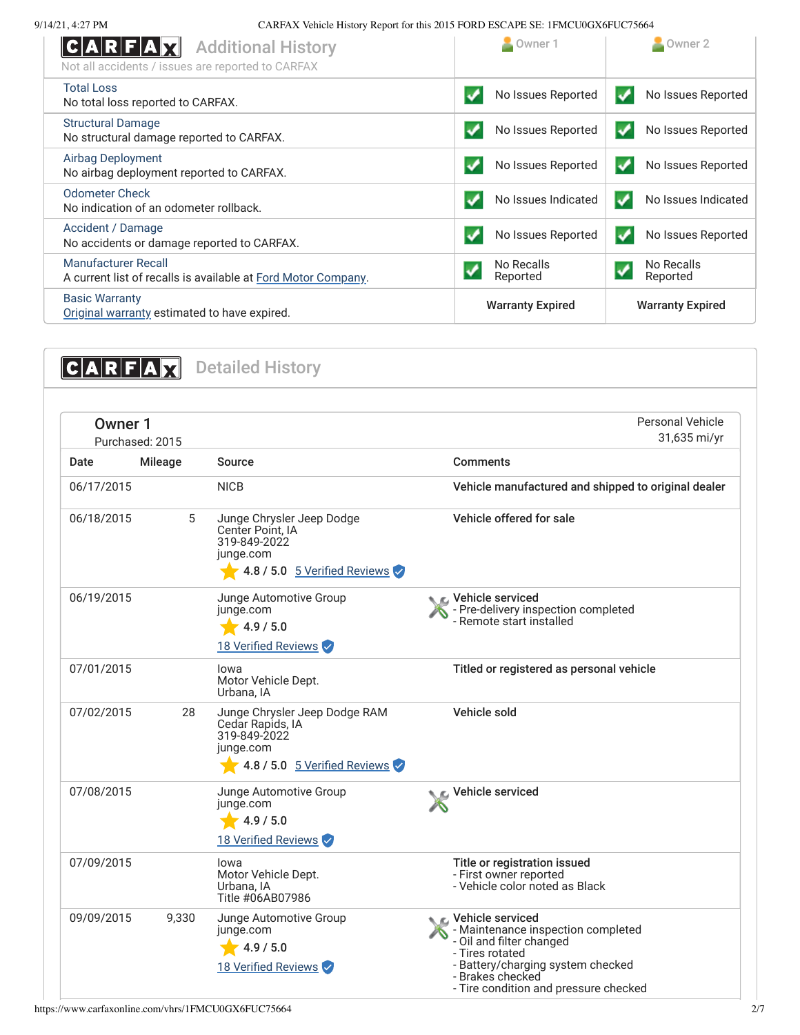| <b>Additional History</b><br> C A R F A <br>Not all accidents / issues are reported to CARFAX | Owner 1                 | Owner 2                  |
|-----------------------------------------------------------------------------------------------|-------------------------|--------------------------|
| <b>Total Loss</b><br>No total loss reported to CARFAX.                                        | No Issues Reported      | No Issues Reported       |
| <b>Structural Damage</b>                                                                      | No Issues Reported      | No Issues Reported       |
| No structural damage reported to CARFAX.                                                      | ✔                       | ✓                        |
| <b>Airbag Deployment</b>                                                                      | No Issues Reported      | No Issues Reported       |
| No airbag deployment reported to CARFAX.                                                      | ✔                       | $\boldsymbol{V}$         |
| <b>Odometer Check</b><br>No indication of an odometer rollback.                               | No Issues Indicated     | No Issues Indicated<br>✔ |
| Accident / Damage                                                                             | No Issues Reported      | No Issues Reported       |
| No accidents or damage reported to CARFAX.                                                    | $\boldsymbol{V}$        | $\boldsymbol{v}$         |
| <b>Manufacturer Recall</b>                                                                    | No Recalls              | No Recalls               |
| A current list of recalls is available at Ford Motor Company.                                 | Reported                | Reported                 |
| <b>Basic Warranty</b><br>Original warranty estimated to have expired.                         | <b>Warranty Expired</b> | <b>Warranty Expired</b>  |

<span id="page-1-0"></span>

| <b>Owner 1</b> | Purchased: 2015 |                                                                                                                | <b>Personal Vehicle</b><br>31,635 mi/yr                                                                                                                                                                      |
|----------------|-----------------|----------------------------------------------------------------------------------------------------------------|--------------------------------------------------------------------------------------------------------------------------------------------------------------------------------------------------------------|
| Date           | <b>Mileage</b>  | Source                                                                                                         | <b>Comments</b>                                                                                                                                                                                              |
| 06/17/2015     |                 | <b>NICB</b>                                                                                                    | Vehicle manufactured and shipped to original dealer                                                                                                                                                          |
| 06/18/2015     | 5               | Junge Chrysler Jeep Dodge<br>Center Point, IA<br>319-849-2022<br>junge.com<br>4.8 / 5.0 $5$ Verified Reviews   | Vehicle offered for sale                                                                                                                                                                                     |
| 06/19/2015     |                 | Junge Automotive Group<br>junge.com<br>4.9 / 5.0<br>18 Verified Reviews                                        | <b>€</b> Vehicle serviced<br>- Pre-delivery inspection completed<br>- Remote start installed                                                                                                                 |
| 07/01/2015     |                 | Iowa<br>Motor Vehicle Dept.<br>Urbana, IA                                                                      | Titled or registered as personal vehicle                                                                                                                                                                     |
| 07/02/2015     | 28              | Junge Chrysler Jeep Dodge RAM<br>Cedar Rapids, IA<br>319-849-2022<br>junge.com<br>4.8 / 5.0 5 Verified Reviews | Vehicle sold                                                                                                                                                                                                 |
| 07/08/2015     |                 | Junge Automotive Group<br>junge.com<br>4.9 / 5.0<br>18 Verified Reviews                                        | Vehicle serviced                                                                                                                                                                                             |
| 07/09/2015     |                 | lowa<br>Motor Vehicle Dept.<br>Urbana, IA<br>Title #06AB07986                                                  | Title or registration issued<br>- First owner reported<br>- Vehicle color noted as Black                                                                                                                     |
| 09/09/2015     | 9,330           | Junge Automotive Group<br>junge.com<br>4.9 / 5.0<br>18 Verified Reviews                                        | ⊾ c. Vehicle serviced<br>- Maintenance inspection completed<br>- Oil and filter changed<br>- Tires rotated<br>- Battery/charging system checked<br>- Brakes checked<br>- Tire condition and pressure checked |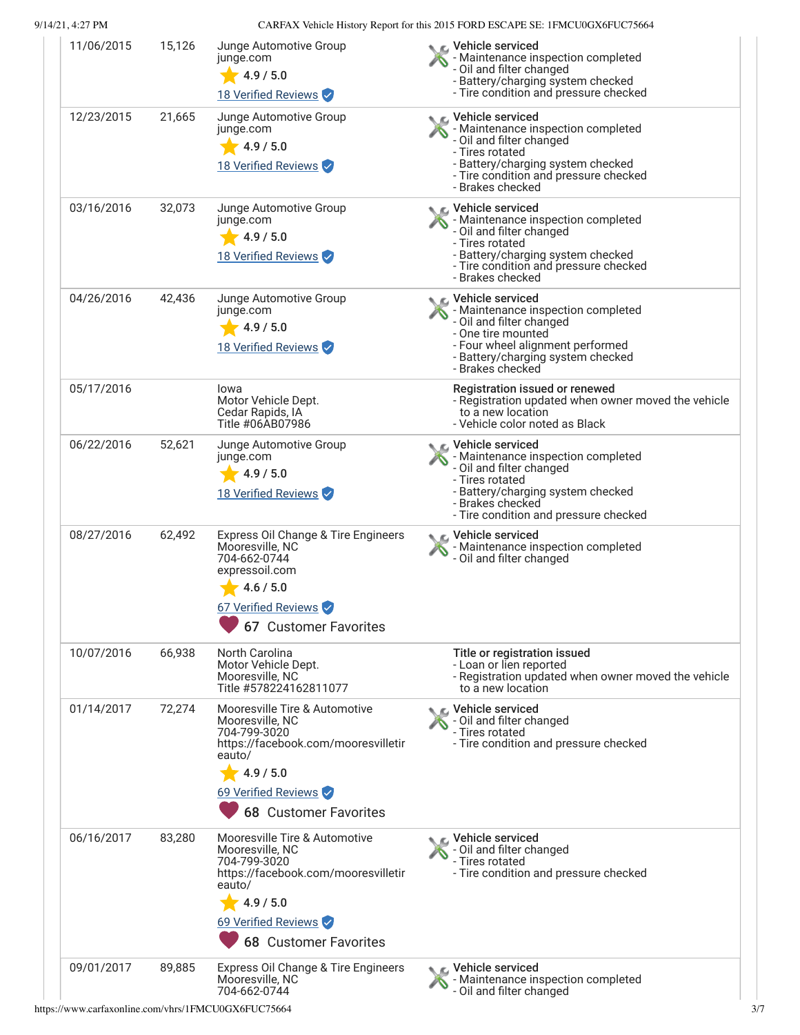| 11/06/2015 | 15,126 | Junge Automotive Group<br>junge.com<br>4.9 / 5.0<br>18 Verified Reviews                                                                                                               | ic⊾ Vehicle serviced<br>- Maintenance inspection completed<br>- Oil and filter changed<br>- Battery/charging system checked<br>- Tire condition and pressure checked                                      |
|------------|--------|---------------------------------------------------------------------------------------------------------------------------------------------------------------------------------------|-----------------------------------------------------------------------------------------------------------------------------------------------------------------------------------------------------------|
| 12/23/2015 | 21,665 | Junge Automotive Group<br>junge.com<br>4.9 / 5.0<br>18 Verified Reviews                                                                                                               | C Vehicle serviced<br>- Maintenance inspection completed<br>- Oil and filter changed<br>- Tires rotated<br>- Battery/charging system checked<br>- Tire condition and pressure checked<br>- Brakes checked |
| 03/16/2016 | 32,073 | Junge Automotive Group<br>junge.com<br>4.9 / 5.0<br>18 Verified Reviews                                                                                                               | C Vehicle serviced<br>- Maintenance inspection completed<br>- Oil and filter changed<br>- Tires rotated<br>- Battery/charging system checked<br>- Tire condition and pressure checked<br>- Brakes checked |
| 04/26/2016 | 42,436 | Junge Automotive Group<br>junge.com<br>4.9 / 5.0<br>18 Verified Reviews                                                                                                               | C Vehicle serviced<br>- Maintenance inspection completed<br>- Oil and filter changed<br>- One tire mounted<br>- Four wheel alignment performed<br>- Battery/charging system checked<br>- Brakes checked   |
| 05/17/2016 |        | Iowa<br>Motor Vehicle Dept.<br>Cedar Rapids, IA<br>Title #06AB07986                                                                                                                   | Registration issued or renewed<br>- Registration updated when owner moved the vehicle<br>to a new location<br>- Vehicle color noted as Black                                                              |
| 06/22/2016 | 52,621 | Junge Automotive Group<br>junge.com<br>4.9 / 5.0<br>18 Verified Reviews                                                                                                               | C Vehicle serviced<br>- Maintenance inspection completed<br>- Oil and filter changed<br>- Tires rotated<br>- Battery/charging system checked<br>- Brakes checked<br>- Tire condition and pressure checked |
| 08/27/2016 | 62,492 | Express Oil Change & Tire Engineers<br>Mooresville, NC<br>704-662-0744<br>expressoil.com<br>4.6 / 5.0<br>67 Verified Reviews<br>67 Customer Favorites                                 | C Vehicle serviced<br>- Maintenance inspection completed<br>- Oil and filter changed                                                                                                                      |
| 10/07/2016 | 66,938 | North Carolina<br>Motor Vehicle Dept.<br>Mooresville, NC<br>Title #578224162811077                                                                                                    | Title or registration issued<br>- Loan or lien reported<br>- Registration updated when owner moved the vehicle<br>to a new location                                                                       |
| 01/14/2017 | 72,274 | Mooresville Tire & Automotive<br>Mooresville, NC<br>704-799-3020<br>https://facebook.com/mooresvilletir<br>eauto/<br>4.9 / 5.0<br>69 Verified Reviews<br><b>68 Customer Favorites</b> | <b>€</b> Vehicle serviced<br>- Oil and filter changed<br>- Tires rotated<br>- Tire condition and pressure checked                                                                                         |
| 06/16/2017 | 83,280 | Mooresville Tire & Automotive<br>Mooresville, NC<br>704-799-3020<br>https://facebook.com/mooresvilletir<br>eauto/<br>4.9 / 5.0<br>69 Verified Reviews                                 | $\epsilon$ Vehicle serviced<br>- Oil and filter changed<br>- Tires rotated<br>- Tire condition and pressure checked                                                                                       |
|            |        | <b>68 Customer Favorites</b>                                                                                                                                                          |                                                                                                                                                                                                           |
| 09/01/2017 | 89,885 | Express Oil Change & Tire Engineers<br>Mooresville, NC<br>704-662-0744                                                                                                                | ्ट Vehicle serviced<br>- Maintenance inspection completed<br>- Oil and filter changed                                                                                                                     |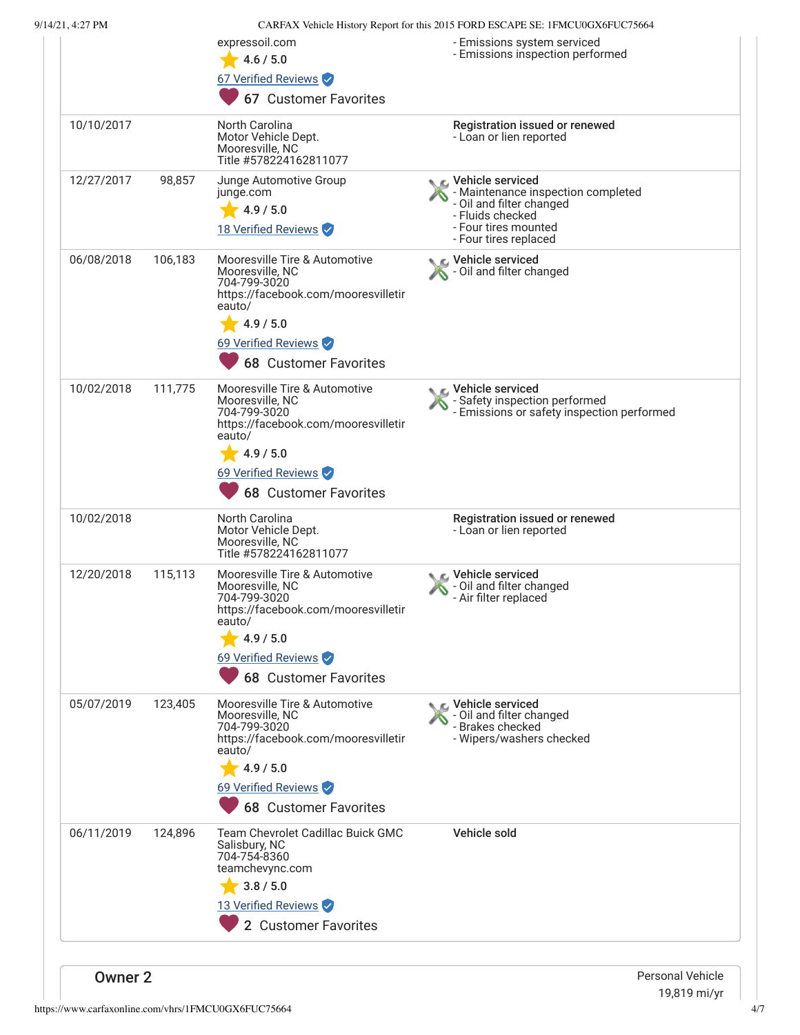|                |         | expressoil.com<br>4.6 / 5.0<br>67 Verified Reviews<br>67 Customer Favorites                                                                                                           | - Emissions system serviced<br>- Emissions inspection performed                                                                                                  |
|----------------|---------|---------------------------------------------------------------------------------------------------------------------------------------------------------------------------------------|------------------------------------------------------------------------------------------------------------------------------------------------------------------|
| 10/10/2017     |         | North Carolina<br>Motor Vehicle Dept.<br>Mooresville, NC<br>Title #578224162811077                                                                                                    | Registration issued or renewed<br>- Loan or lien reported                                                                                                        |
| 12/27/2017     | 98,857  | Junge Automotive Group<br>junge.com<br>4.9 / 5.0<br>18 Verified Reviews                                                                                                               | <b>€</b> Vehicle serviced<br>- Maintenance inspection completed<br>- Oil and filter changed<br>- Fluids checked<br>- Four tires mounted<br>- Four tires replaced |
| 06/08/2018     | 106,183 | Mooresville Tire & Automotive<br>Mooresville, NC<br>704-799-3020<br>https://facebook.com/mooresvilletir<br>eauto/<br>4.9 / 5.0<br>69 Verified Reviews<br><b>68 Customer Favorites</b> | Vehicle serviced<br>- Oil and filter changed                                                                                                                     |
| 10/02/2018     | 111,775 | Mooresville Tire & Automotive<br>Mooresville, NC<br>704-799-3020<br>https://facebook.com/mooresvilletir<br>eauto/<br>4.9 / 5.0<br>69 Verified Reviews<br><b>68 Customer Favorites</b> | C Vehicle serviced<br>- Safety inspection performed<br>- Emissions or safety inspection performed                                                                |
| 10/02/2018     |         | North Carolina<br>Motor Vehicle Dept.<br>Mooresville, NC<br>Title #578224162811077                                                                                                    | Registration issued or renewed<br>- Loan or lien reported                                                                                                        |
| 12/20/2018     | 115,113 | Mooresville Tire & Automotive<br>Mooresville, NC<br>704-799-3020<br>https://facebook.com/mooresvilletir<br>eauto/<br>4.9 / 5.0<br>69 Verified Reviews<br><b>68 Customer Favorites</b> | Vehicle serviced<br>- Oil and filter changed<br>- Air filter replaced                                                                                            |
| 05/07/2019     | 123,405 | Mooresville Tire & Automotive<br>Mooresville, NC<br>704-799-3020<br>https://facebook.com/mooresvilletir<br>eauto/<br>4.9 / 5.0<br>69 Verified Reviews<br><b>68 Customer Favorites</b> | ic⊾ Vehicle serviced<br>- Oil and filter changed<br>- Brakes checked<br>- Wipers/washers checked                                                                 |
| 06/11/2019     | 124,896 | Team Chevrolet Cadillac Buick GMC<br>Salisbury, NC<br>704-754-8360<br>teamchevync.com<br>3.8 / 5.0<br>13 Verified Reviews<br>2 Customer Favorites                                     | Vehicle sold                                                                                                                                                     |
| <b>Owner 2</b> |         |                                                                                                                                                                                       | <b>Personal Vehicle</b>                                                                                                                                          |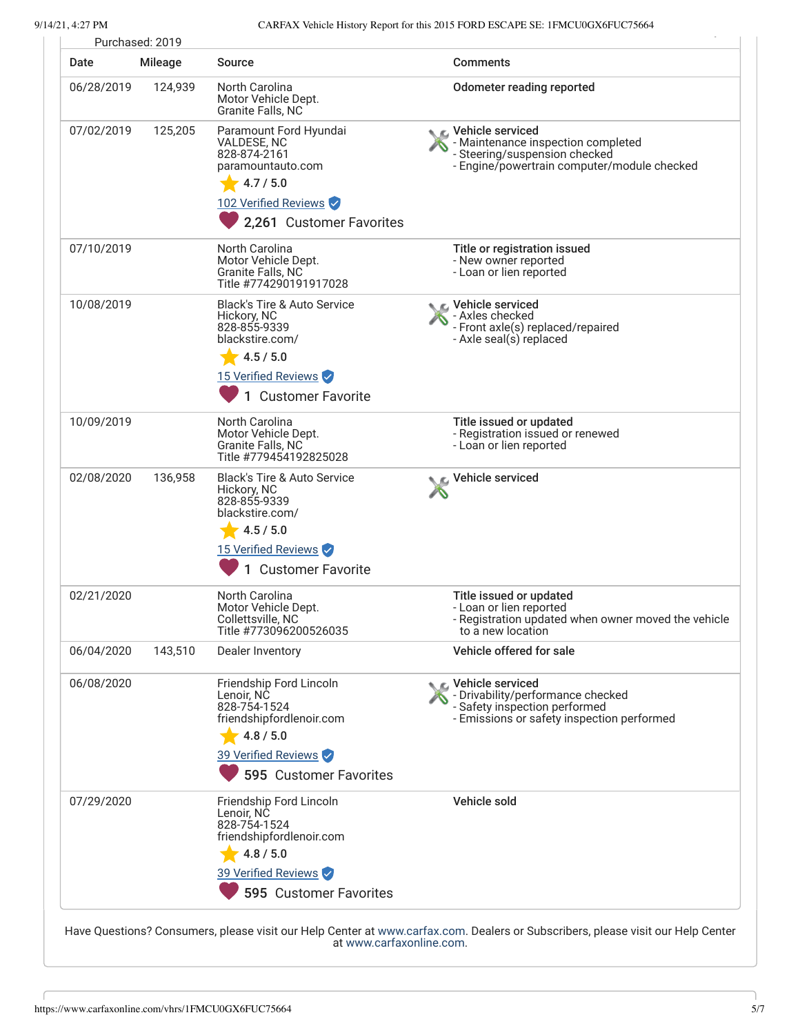| Date       | <b>Mileage</b> | <b>Source</b>                                                                                                                                       | <b>Comments</b>                                                                                                                                 |
|------------|----------------|-----------------------------------------------------------------------------------------------------------------------------------------------------|-------------------------------------------------------------------------------------------------------------------------------------------------|
| 06/28/2019 | 124,939        | North Carolina<br>Motor Vehicle Dept.<br>Granite Falls, NC                                                                                          | <b>Odometer reading reported</b>                                                                                                                |
| 07/02/2019 | 125,205        | Paramount Ford Hyundai<br>VALDESE, NC<br>828-874-2161<br>paramountauto.com<br>4.7 / 5.0<br>102 Verified Reviews<br>2,261 Customer Favorites         | <b>€</b> Vehicle serviced<br>- Maintenance inspection completed<br>- Steering/suspension checked<br>- Engine/powertrain computer/module checked |
| 07/10/2019 |                | North Carolina<br>Motor Vehicle Dept.<br>Granite Falls, NC<br>Title #774290191917028                                                                | Title or registration issued<br>- New owner reported<br>- Loan or lien reported                                                                 |
| 10/08/2019 |                | <b>Black's Tire &amp; Auto Service</b><br>Hickory, NC<br>828-855-9339<br>blackstire.com/<br>4.5 / 5.0<br>15 Verified Reviews<br>1 Customer Favorite | <b>€</b> Vehicle serviced<br>- Axles checked<br>- Front axle(s) replaced/repaired<br>- Axle seal(s) replaced                                    |
| 10/09/2019 |                | North Carolina<br>Motor Vehicle Dept.<br>Granite Falls, NC<br>Title #779454192825028                                                                | Title issued or updated<br>- Registration issued or renewed<br>- Loan or lien reported                                                          |
| 02/08/2020 | 136,958        | <b>Black's Tire &amp; Auto Service</b><br>Hickory, NC<br>828-855-9339<br>blackstire.com/<br>4.5 / 5.0<br>15 Verified Reviews<br>1 Customer Favorite | Vehicle serviced                                                                                                                                |
| 02/21/2020 |                | North Carolina<br>Motor Vehicle Dept.<br>Collettsville, NC<br>Title #773096200526035                                                                | Title issued or updated<br>- Loan or lien reported<br>- Registration updated when owner moved the vehicle<br>to a new location                  |
| 06/04/2020 | 143,510        | Dealer Inventory                                                                                                                                    | Vehicle offered for sale                                                                                                                        |
| 06/08/2020 |                | Friendship Ford Lincoln<br>Lenoir, NC<br>828-754-1524<br>friendshipfordlenoir.com<br>4.8 / 5.0<br>39 Verified Reviews                               | C Vehicle serviced<br>- Drivability/performance checked<br>- Safety inspection performed<br>- Emissions or safety inspection performed          |
|            |                | 595 Customer Favorites                                                                                                                              |                                                                                                                                                 |
| 07/29/2020 |                | Friendship Ford Lincoln<br>Lenoir, NC<br>828-754-1524<br>friendshipfordlenoir.com<br>4.8 / 5.0<br>39 Verified Reviews                               | Vehicle sold                                                                                                                                    |
|            |                | 595 Customer Favorites                                                                                                                              |                                                                                                                                                 |

Have Questions? Consumers, please visit our Help Center at [www.carfax.com](http://www.carfax.com/help). Dealers or Subscribers, please visit our Help Center at [www.carfaxonline.com.](http://www.carfaxonline.com/)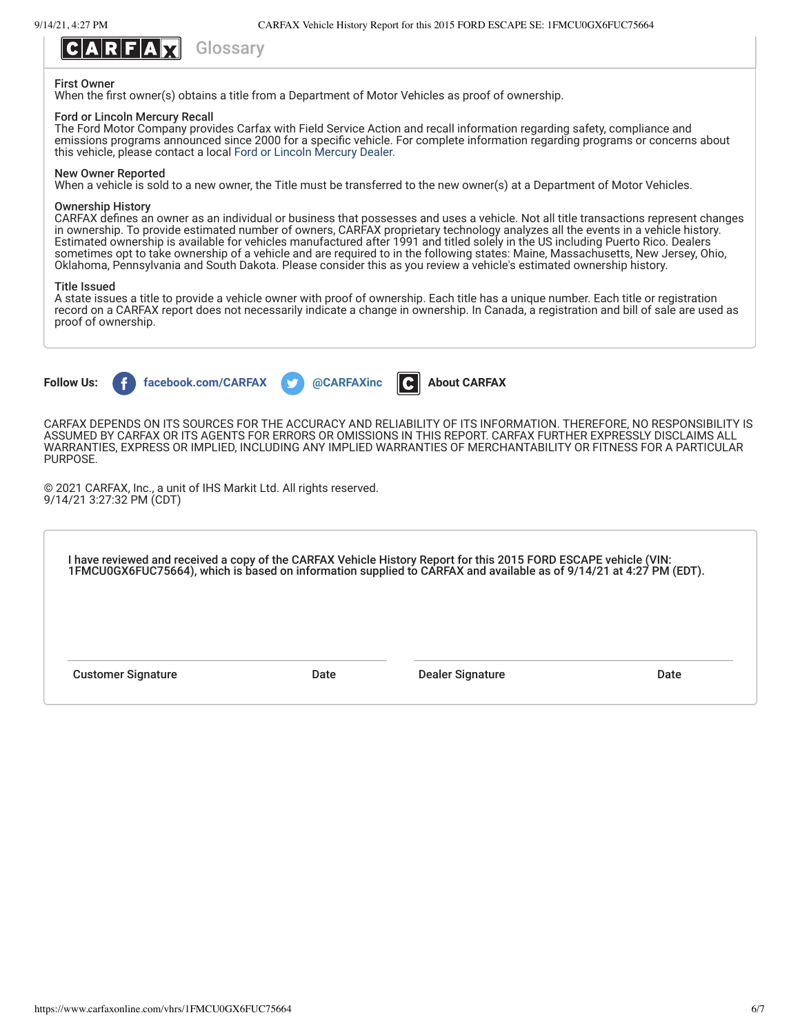

### First Owner

When the first owner(s) obtains a title from a Department of Motor Vehicles as proof of ownership.

### Ford or Lincoln Mercury Recall

The Ford Motor Company provides Carfax with Field Service Action and recall information regarding safety, compliance and emissions programs announced since 2000 for a specific vehicle. For complete information regarding programs or concerns about this vehicle, please contact a local [Ford or Lincoln Mercury Dealer.](http://www.fordvehicles.com/dealerships/locate/)

### New Owner Reported

When a vehicle is sold to a new owner, the Title must be transferred to the new owner(s) at a Department of Motor Vehicles.

### Ownership History

CARFAX defines an owner as an individual or business that possesses and uses a vehicle. Not all title transactions represent changes in ownership. To provide estimated number of owners, CARFAX proprietary technology analyzes all the events in a vehicle history. Estimated ownership is available for vehicles manufactured after 1991 and titled solely in the US including Puerto Rico. Dealers sometimes opt to take ownership of a vehicle and are required to in the following states: Maine, Massachusetts, New Jersey, Ohio, Oklahoma, Pennsylvania and South Dakota. Please consider this as you review a vehicle's estimated ownership history.

### Title Issued

A state issues a title to provide a vehicle owner with proof of ownership. Each title has a unique number. Each title or registration record on a CARFAX report does not necessarily indicate a change in ownership. In Canada, a registration and bill of sale are used as proof of ownership.



CARFAX DEPENDS ON ITS SOURCES FOR THE ACCURACY AND RELIABILITY OF ITS INFORMATION. THEREFORE, NO RESPONSIBILITY IS ASSUMED BY CARFAX OR ITS AGENTS FOR ERRORS OR OMISSIONS IN THIS REPORT. CARFAX FURTHER EXPRESSLY DISCLAIMS ALL WARRANTIES, EXPRESS OR IMPLIED, INCLUDING ANY IMPLIED WARRANTIES OF MERCHANTABILITY OR FITNESS FOR A PARTICULAR PURPOSE.

© 2021 CARFAX, Inc., a unit of IHS Markit Ltd. All rights reserved. 9/14/21 3:27:32 PM (CDT)

| I have reviewed and received a copy of the CARFAX Vehicle History Report for this 2015 FORD ESCAPE vehicle (VIN:<br>1FMCU0GX6FUC75664), which is based on information supplied to CARFAX and available as of 9/14/21 at 4:27 PM ( |      |                  |      |
|-----------------------------------------------------------------------------------------------------------------------------------------------------------------------------------------------------------------------------------|------|------------------|------|
|                                                                                                                                                                                                                                   |      |                  |      |
| <b>Customer Signature</b>                                                                                                                                                                                                         | Date | Dealer Signature | Date |